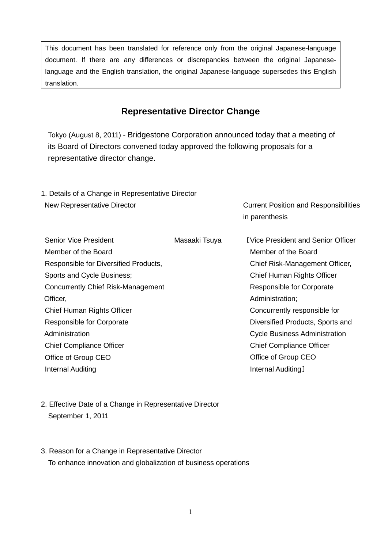This document has been translated for reference only from the original Japanese-language document. If there are any differences or discrepancies between the original Japaneselanguage and the English translation, the original Japanese-language supersedes this English translation.

## **Representative Director Change**

Tokyo (August 8, 2011) - Bridgestone Corporation announced today that a meeting of its Board of Directors convened today approved the following proposals for a representative director change.

| 1. Details of a Change in Representative Director |                                              |                                           |  |  |
|---------------------------------------------------|----------------------------------------------|-------------------------------------------|--|--|
| New Representative Director                       | <b>Current Position and Responsibilities</b> |                                           |  |  |
|                                                   |                                              | in parenthesis                            |  |  |
| Senior Vice President                             | Masaaki Tsuya                                | <b>(Vice President and Senior Officer</b> |  |  |
| Member of the Board                               |                                              | Member of the Board                       |  |  |
| Responsible for Diversified Products,             | Chief Risk-Management Officer,               |                                           |  |  |
| Sports and Cycle Business;                        |                                              | Chief Human Rights Officer                |  |  |
| <b>Concurrently Chief Risk-Management</b>         |                                              | Responsible for Corporate                 |  |  |
| Officer,                                          |                                              | Administration;                           |  |  |
|                                                   |                                              |                                           |  |  |

- Chief Human Rights Officer Responsible for Corporate Administration Chief Compliance Officer Office of Group CEO Internal Auditing Concurrently responsible for Diversified Products, Sports and Cycle Business Administration Chief Compliance Officer Office of Group CEO Internal Auditing〕
- 2. Effective Date of a Change in Representative Director September 1, 2011
- 3. Reason for a Change in Representative Director To enhance innovation and globalization of business operations